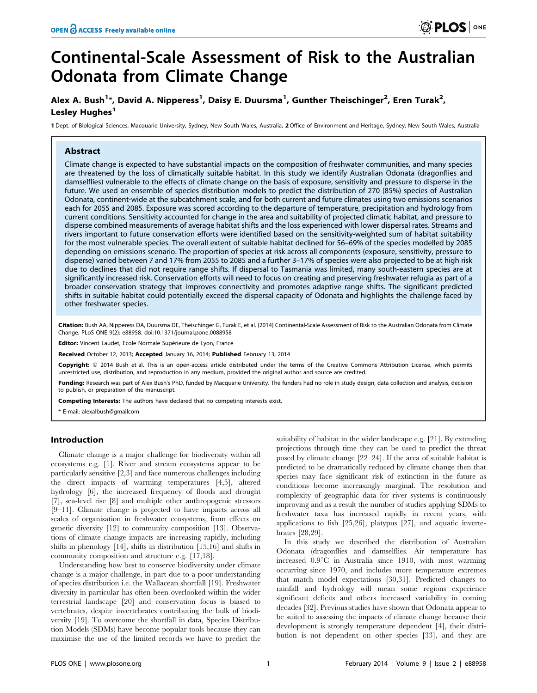# Continental-Scale Assessment of Risk to the Australian Odonata from Climate Change

# Alex A. Bush<sup>1</sup>\*, David A. Nipperess<sup>1</sup>, Daisy E. Duursma<sup>1</sup>, Gunther Theischinger<sup>2</sup>, Eren Turak<sup>2</sup>, Lesley Hughes<sup>1</sup>

1 Dept. of Biological Sciences, Macquarie University, Sydney, New South Wales, Australia, 2Office of Environment and Heritage, Sydney, New South Wales, Australia

# **Abstract**

Climate change is expected to have substantial impacts on the composition of freshwater communities, and many species are threatened by the loss of climatically suitable habitat. In this study we identify Australian Odonata (dragonflies and damselflies) vulnerable to the effects of climate change on the basis of exposure, sensitivity and pressure to disperse in the future. We used an ensemble of species distribution models to predict the distribution of 270 (85%) species of Australian Odonata, continent-wide at the subcatchment scale, and for both current and future climates using two emissions scenarios each for 2055 and 2085. Exposure was scored according to the departure of temperature, precipitation and hydrology from current conditions. Sensitivity accounted for change in the area and suitability of projected climatic habitat, and pressure to disperse combined measurements of average habitat shifts and the loss experienced with lower dispersal rates. Streams and rivers important to future conservation efforts were identified based on the sensitivity-weighted sum of habitat suitability for the most vulnerable species. The overall extent of suitable habitat declined for 56–69% of the species modelled by 2085 depending on emissions scenario. The proportion of species at risk across all components (exposure, sensitivity, pressure to disperse) varied between 7 and 17% from 2055 to 2085 and a further 3–17% of species were also projected to be at high risk due to declines that did not require range shifts. If dispersal to Tasmania was limited, many south-eastern species are at significantly increased risk. Conservation efforts will need to focus on creating and preserving freshwater refugia as part of a broader conservation strategy that improves connectivity and promotes adaptive range shifts. The significant predicted shifts in suitable habitat could potentially exceed the dispersal capacity of Odonata and highlights the challenge faced by other freshwater species.

Citation: Bush AA, Nipperess DA, Duursma DE, Theischinger G, Turak E, et al. (2014) Continental-Scale Assessment of Risk to the Australian Odonata from Climate Change. PLoS ONE 9(2): e88958. doi:10.1371/journal.pone.0088958

Editor: Vincent Laudet, Ecole Normale Supérieure de Lyon, France

Received October 12, 2013; Accepted January 16, 2014; Published February 13, 2014

Copyright: © 2014 Bush et al. This is an open-access article distributed under the terms of the [Creative Commons Attribution License,](http://creativecommons.org/licenses/by/4.0/) which permits unrestricted use, distribution, and reproduction in any medium, provided the original author and source are credited.

Funding: Research was part of Alex Bush's PhD, funded by Macquarie University. The funders had no role in study design, data collection and analysis, decision to publish, or preparation of the manuscript.

Competing Interests: The authors have declared that no competing interests exist.

\* E-mail: alexalbush@gmailcom

# Introduction

Climate change is a major challenge for biodiversity within all ecosystems e.g. [1]. River and stream ecosystems appear to be particularly sensitive [2,3] and face numerous challenges including the direct impacts of warming temperatures [4,5], altered hydrology [6], the increased frequency of floods and drought [7], sea-level rise [8] and multiple other anthropogenic stressors [9–11]. Climate change is projected to have impacts across all scales of organisation in freshwater ecosystems, from effects on genetic diversity [12] to community composition [13]. Observations of climate change impacts are increasing rapidly, including shifts in phenology [14], shifts in distribution [15,16] and shifts in community composition and structure e.g. [17,18].

Understanding how best to conserve biodiversity under climate change is a major challenge, in part due to a poor understanding of species distribution i.e. the Wallacean shortfall [19]. Freshwater diversity in particular has often been overlooked within the wider terrestrial landscape [20] and conservation focus is biased to vertebrates, despite invertebrates contributing the bulk of biodiversity [19]. To overcome the shortfall in data, Species Distribution Models (SDMs) have become popular tools because they can maximise the use of the limited records we have to predict the

suitability of habitat in the wider landscape e.g. [21]. By extending projections through time they can be used to predict the threat posed by climate change [22–24]. If the area of suitable habitat is predicted to be dramatically reduced by climate change then that species may face significant risk of extinction in the future as conditions become increasingly marginal. The resolution and complexity of geographic data for river systems is continuously improving and as a result the number of studies applying SDMs to freshwater taxa has increased rapidly in recent years, with applications to fish [25,26], platypus [27], and aquatic invertebrates [28,29].

In this study we described the distribution of Australian Odonata (dragonflies and damselflies. Air temperature has increased  $0.9^{\circ}$ C in Australia since 1910, with most warming occurring since 1970, and includes more temperature extremes that match model expectations [30,31]. Predicted changes to rainfall and hydrology will mean some regions experience significant deficits and others increased variability in coming decades [32]. Previous studies have shown that Odonata appear to be suited to assessing the impacts of climate change because their development is strongly temperature dependent [4], their distribution is not dependent on other species [33], and they are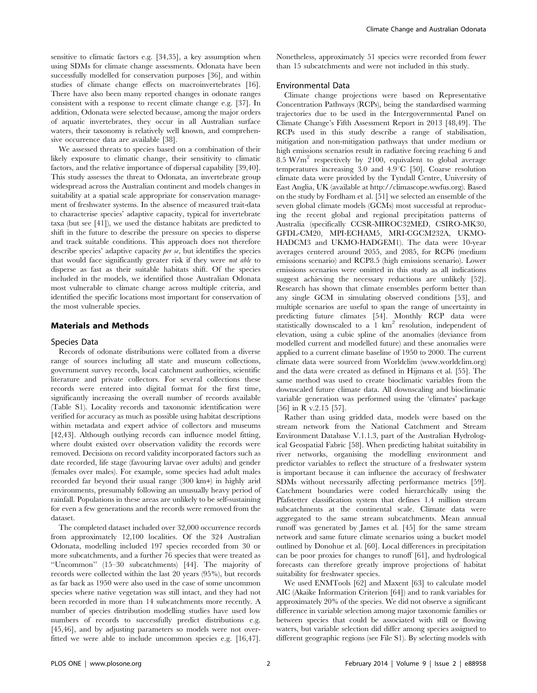sensitive to climatic factors e.g. [34,35], a key assumption when using SDMs for climate change assessments. Odonata have been successfully modelled for conservation purposes [36], and within studies of climate change effects on macroinvertebrates [16]. There have also been many reported changes in odonate ranges consistent with a response to recent climate change e.g. [37]. In addition, Odonata were selected because, among the major orders of aquatic invertebrates, they occur in all Australian surface waters, their taxonomy is relatively well known, and comprehensive occurrence data are available [38].

We assessed threats to species based on a combination of their likely exposure to climatic change, their sensitivity to climatic factors, and the relative importance of dispersal capability [39,40]. This study assesses the threat to Odonata, an invertebrate group widespread across the Australian continent and models changes in suitability at a spatial scale appropriate for conservation management of freshwater systems. In the absence of measured trait-data to characterise species' adaptive capacity, typical for invertebrate taxa (but see [41]), we used the distance habitats are predicted to shift in the future to describe the pressure on species to disperse and track suitable conditions. This approach does not therefore describe species' adaptive capacity per se, but identifies the species that would face significantly greater risk if they were not able to disperse as fast as their suitable habitats shift. Of the species included in the models, we identified those Australian Odonata most vulnerable to climate change across multiple criteria, and identified the specific locations most important for conservation of the most vulnerable species.

### Materials and Methods

#### Species Data

Records of odonate distributions were collated from a diverse range of sources including all state and museum collections, government survey records, local catchment authorities, scientific literature and private collectors. For several collections these records were entered into digital format for the first time, significantly increasing the overall number of records available (Table S1). Locality records and taxonomic identification were verified for accuracy as much as possible using habitat descriptions within metadata and expert advice of collectors and museums [42,43]. Although outlying records can influence model fitting, where doubt existed over observation validity the records were removed. Decisions on record validity incorporated factors such as date recorded, life stage (favouring larvae over adults) and gender (females over males). For example, some species had adult males recorded far beyond their usual range (300 km+) in highly arid environments, presumably following an unusually heavy period of rainfall. Populations in these areas are unlikely to be self-sustaining for even a few generations and the records were removed from the dataset.

The completed dataset included over 32,000 occurrence records from approximately 12,100 localities. Of the 324 Australian Odonata, modelling included 197 species recorded from 30 or more subcatchments, and a further 76 species that were treated as ''Uncommon'' (15–30 subcatchments) [44]. The majority of records were collected within the last 20 years (95%), but records as far back as 1950 were also used in the case of some uncommon species where native vegetation was still intact, and they had not been recorded in more than 14 subcatchments more recently. A number of species distribution modelling studies have used low numbers of records to successfully predict distributions e.g. [45,46], and by adjusting parameters so models were not overfitted we were able to include uncommon species e.g. [16,47]. Nonetheless, approximately 51 species were recorded from fewer than 15 subcatchments and were not included in this study.

#### Environmental Data

Climate change projections were based on Representative Concentration Pathways (RCPs), being the standardised warming trajectories due to be used in the Intergovernmental Panel on Climate Change's Fifth Assessment Report in 2013 [48,49]. The RCPs used in this study describe a range of stabilisation, mitigation and non-mitigation pathways that under medium or high emissions scenarios result in radiative forcing reaching 6 and 8.5 W/m<sup>2</sup> respectively by 2100, equivalent to global average temperatures increasing  $3.0$  and  $4.9^{\circ}C$  [50]. Coarse resolution climate data were provided by the Tyndall Centre, University of East Anglia, UK (available at<http://climascope.wwfus.org>). Based on the study by Fordham et al. [51] we selected an ensemble of the seven global climate models (GCMs) most successful at reproducing the recent global and regional precipitation patterns of Australia (specifically CCSR-MIROC32MED, CSIRO-MK30, GFDL-CM20, MPI-ECHAM5, MRI-CGCM232A, UKMO-HADCM3 and UKMO-HADGEM1). The data were 10-year averages centered around 2055, and 2085, for RCP6 (medium emissions scenario) and RCP8.5 (high emissions scenario). Lower emissions scenarios were omitted in this study as all indications suggest achieving the necessary reductions are unlikely [52]. Research has shown that climate ensembles perform better than any single GCM in simulating observed conditions [53], and multiple scenarios are useful to span the range of uncertainty in predicting future climates [54]. Monthly RCP data were statistically downscaled to a 1 km2 resolution, independent of elevation, using a cubic spline of the anomalies (deviance from modelled current and modelled future) and these anomalies were applied to a current climate baseline of 1950 to 2000. The current climate data were sourced from Worldclim [\(www.worldclim.org](www.worldclim.org)) and the data were created as defined in Hijmans et al. [55]. The same method was used to create bioclimatic variables from the downscaled future climate data. All downscaling and bioclimatic variable generation was performed using the 'climates' package [56] in R v.2.15 [57].

Rather than using gridded data, models were based on the stream network from the National Catchment and Stream Environment Database V.1.1.3, part of the Australian Hydrological Geospatial Fabric [58]. When predicting habitat suitability in river networks, organising the modelling environment and predictor variables to reflect the structure of a freshwater system is important because it can influence the accuracy of freshwater SDMs without necessarily affecting performance metrics [59]. Catchment boundaries were coded hierarchically using the Pfafstetter classification system that defines 1.4 million stream subcatchments at the continental scale. Climate data were aggregated to the same stream subcatchments. Mean annual runoff was generated by James et al. [45] for the same stream network and same future climate scenarios using a bucket model outlined by Donohue et al. [60]. Local differences in precipitation can be poor proxies for changes to runoff [61], and hydrological forecasts can therefore greatly improve projections of habitat suitability for freshwater species.

We used ENMTools [62] and Maxent [63] to calculate model AIC (Akaike Information Criterion [64]) and to rank variables for approximately 20% of the species. We did not observe a significant difference in variable selection among major taxonomic families or between species that could be associated with still or flowing waters, but variable selection did differ among species assigned to different geographic regions (see File S1). By selecting models with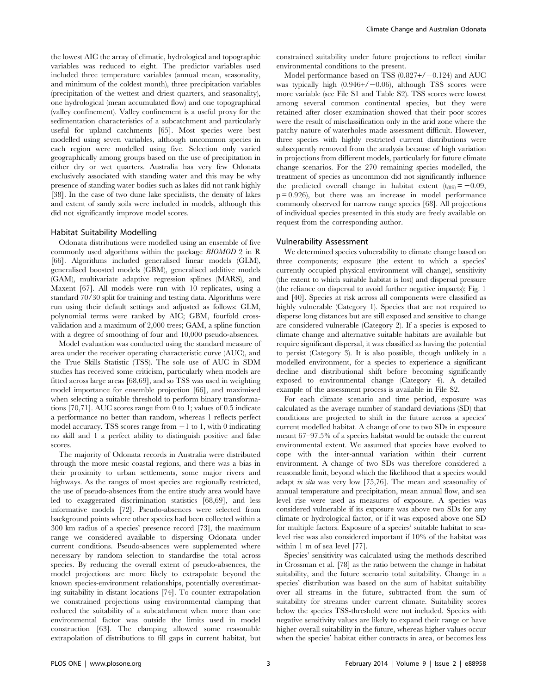the lowest AIC the array of climatic, hydrological and topographic variables was reduced to eight. The predictor variables used included three temperature variables (annual mean, seasonality, and minimum of the coldest month), three precipitation variables (precipitation of the wettest and driest quarters, and seasonality), one hydrological (mean accumulated flow) and one topographical (valley confinement). Valley confinement is a useful proxy for the sedimentation characteristics of a subcatchment and particularly useful for upland catchments [65]. Most species were best modelled using seven variables, although uncommon species in each region were modelled using five. Selection only varied geographically among groups based on the use of precipitation in either dry or wet quarters. Australia has very few Odonata exclusively associated with standing water and this may be why presence of standing water bodies such as lakes did not rank highly [38]. In the case of two dune lake specialists, the density of lakes and extent of sandy soils were included in models, although this did not significantly improve model scores.

#### Habitat Suitability Modelling

Odonata distributions were modelled using an ensemble of five commonly used algorithms within the package BIOMOD 2 in R [66]. Algorithms included generalised linear models (GLM), generalised boosted models (GBM), generalised additive models (GAM), multivariate adaptive regression splines (MARS), and Maxent [67]. All models were run with 10 replicates, using a standard 70/30 split for training and testing data. Algorithms were run using their default settings and adjusted as follows: GLM, polynomial terms were ranked by AIC; GBM, fourfold crossvalidation and a maximum of 2,000 trees; GAM, a spline function with a degree of smoothing of four and 10,000 pseudo-absences.

Model evaluation was conducted using the standard measure of area under the receiver operating characteristic curve (AUC), and the True Skills Statistic (TSS). The sole use of AUC in SDM studies has received some criticism, particularly when models are fitted across large areas [68,69], and so TSS was used in weighting model importance for ensemble projection [66], and maximised when selecting a suitable threshold to perform binary transformations [70,71]. AUC scores range from 0 to 1; values of 0.5 indicate a performance no better than random, whereas 1 reflects perfect model accuracy. TSS scores range from  $-1$  to 1, with 0 indicating no skill and 1 a perfect ability to distinguish positive and false scores.

The majority of Odonata records in Australia were distributed through the more mesic coastal regions, and there was a bias in their proximity to urban settlements, some major rivers and highways. As the ranges of most species are regionally restricted, the use of pseudo-absences from the entire study area would have led to exaggerated discrimination statistics [68,69], and less informative models [72]. Pseudo-absences were selected from background points where other species had been collected within a 300 km radius of a species' presence record [73], the maximum range we considered available to dispersing Odonata under current conditions. Pseudo-absences were supplemented where necessary by random selection to standardise the total across species. By reducing the overall extent of pseudo-absences, the model projections are more likely to extrapolate beyond the known species-environment relationships, potentially overestimating suitability in distant locations [74]. To counter extrapolation we constrained projections using environmental clamping that reduced the suitability of a subcatchment when more than one environmental factor was outside the limits used in model construction [63]. The clamping allowed some reasonable extrapolation of distributions to fill gaps in current habitat, but constrained suitability under future projections to reflect similar environmental conditions to the present.

Model performance based on TSS  $(0.827 + / -0.124)$  and AUC was typically high  $(0.946+\ell-0.06)$ , although TSS scores were more variable (see File S1 and Table S2). TSS scores were lowest among several common continental species, but they were retained after closer examination showed that their poor scores were the result of misclassification only in the arid zone where the patchy nature of waterholes made assessment difficult. However, three species with highly restricted current distributions were subsequently removed from the analysis because of high variation in projections from different models, particularly for future climate change scenarios. For the 270 remaining species modelled, the treatment of species as uncommon did not significantly influence the predicted overall change in habitat extent  $(t_{(89)} = -0.09$ ,  $p = 0.926$ , but there was an increase in model performance commonly observed for narrow range species [68]. All projections of individual species presented in this study are freely available on request from the corresponding author.

# Vulnerability Assessment

We determined species vulnerability to climate change based on three components; exposure (the extent to which a species' currently occupied physical environment will change), sensitivity (the extent to which suitable habitat is lost) and dispersal pressure (the reliance on dispersal to avoid further negative impacts); Fig. 1 and [40]. Species at risk across all components were classified as highly vulnerable (Category 1). Species that are not required to disperse long distances but are still exposed and sensitive to change are considered vulnerable (Category 2). If a species is exposed to climate change and alternative suitable habitats are available but require significant dispersal, it was classified as having the potential to persist (Category 3). It is also possible, though unlikely in a modelled environment, for a species to experience a significant decline and distributional shift before becoming significantly exposed to environmental change (Category 4). A detailed example of the assessment process is available in File S2.

For each climate scenario and time period, exposure was calculated as the average number of standard deviations (SD) that conditions are projected to shift in the future across a species' current modelled habitat. A change of one to two SDs in exposure meant 67–97.5% of a species habitat would be outside the current environmental extent. We assumed that species have evolved to cope with the inter-annual variation within their current environment. A change of two SDs was therefore considered a reasonable limit, beyond which the likelihood that a species would adapt in situ was very low [75,76]. The mean and seasonality of annual temperature and precipitation, mean annual flow, and sea level rise were used as measures of exposure. A species was considered vulnerable if its exposure was above two SDs for any climate or hydrological factor, or if it was exposed above one SD for multiple factors. Exposure of a species' suitable habitat to sealevel rise was also considered important if 10% of the habitat was within 1 m of sea level [77].

Species' sensitivity was calculated using the methods described in Crossman et al. [78] as the ratio between the change in habitat suitability, and the future scenario total suitability. Change in a species' distribution was based on the sum of habitat suitability over all streams in the future, subtracted from the sum of suitability for streams under current climate. Suitability scores below the species TSS-threshold were not included. Species with negative sensitivity values are likely to expand their range or have higher overall suitability in the future, whereas higher values occur when the species' habitat either contracts in area, or becomes less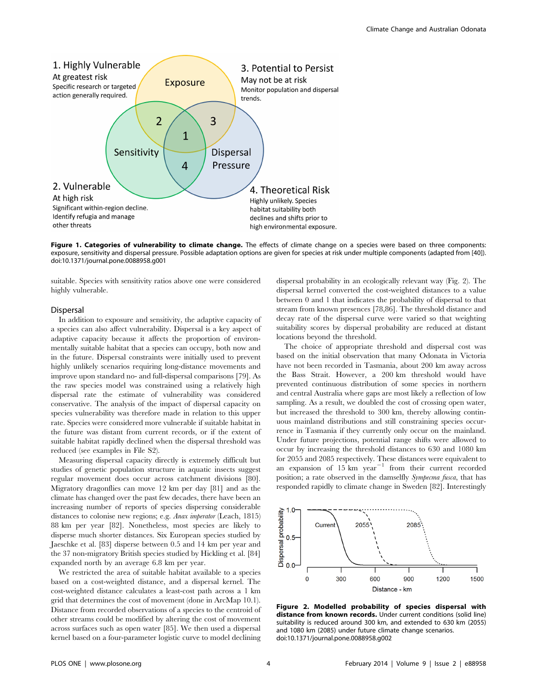

Figure 1. Categories of vulnerability to climate change. The effects of climate change on a species were based on three components: exposure, sensitivity and dispersal pressure. Possible adaptation options are given for species at risk under multiple components (adapted from [40]). doi:10.1371/journal.pone.0088958.g001

suitable. Species with sensitivity ratios above one were considered highly vulnerable.

# Dispersal

In addition to exposure and sensitivity, the adaptive capacity of a species can also affect vulnerability. Dispersal is a key aspect of adaptive capacity because it affects the proportion of environmentally suitable habitat that a species can occupy, both now and in the future. Dispersal constraints were initially used to prevent highly unlikely scenarios requiring long-distance movements and improve upon standard no- and full-dispersal comparisons [79]. As the raw species model was constrained using a relatively high dispersal rate the estimate of vulnerability was considered conservative. The analysis of the impact of dispersal capacity on species vulnerability was therefore made in relation to this upper rate. Species were considered more vulnerable if suitable habitat in the future was distant from current records, or if the extent of suitable habitat rapidly declined when the dispersal threshold was reduced (see examples in File S2).

Measuring dispersal capacity directly is extremely difficult but studies of genetic population structure in aquatic insects suggest regular movement does occur across catchment divisions [80]. Migratory dragonflies can move 12 km per day [81] and as the climate has changed over the past few decades, there have been an increasing number of reports of species dispersing considerable distances to colonise new regions; e.g. Anax imperator (Leach, 1815) 88 km per year [82]. Nonetheless, most species are likely to disperse much shorter distances. Six European species studied by Jaeschke et al. [83] disperse between 0.5 and 14 km per year and the 37 non-migratory British species studied by Hickling et al. [84] expanded north by an average 6.8 km per year.

We restricted the area of suitable habitat available to a species based on a cost-weighted distance, and a dispersal kernel. The cost-weighted distance calculates a least-cost path across a 1 km grid that determines the cost of movement (done in ArcMap 10.1). Distance from recorded observations of a species to the centroid of other streams could be modified by altering the cost of movement across surfaces such as open water [85]. We then used a dispersal kernel based on a four-parameter logistic curve to model declining

dispersal probability in an ecologically relevant way (Fig. 2). The dispersal kernel converted the cost-weighted distances to a value between 0 and 1 that indicates the probability of dispersal to that stream from known presences [78,86]. The threshold distance and decay rate of the dispersal curve were varied so that weighting suitability scores by dispersal probability are reduced at distant locations beyond the threshold.

The choice of appropriate threshold and dispersal cost was based on the initial observation that many Odonata in Victoria have not been recorded in Tasmania, about 200 km away across the Bass Strait. However, a 200 km threshold would have prevented continuous distribution of some species in northern and central Australia where gaps are most likely a reflection of low sampling. As a result, we doubled the cost of crossing open water, but increased the threshold to 300 km, thereby allowing continuous mainland distributions and still constraining species occurrence in Tasmania if they currently only occur on the mainland. Under future projections, potential range shifts were allowed to occur by increasing the threshold distances to 630 and 1080 km for 2055 and 2085 respectively. These distances were equivalent to an expansion of  $15 \text{ km}$  year<sup>-1</sup> from their current recorded position; a rate observed in the damselfly Sympecma fusca, that has responded rapidly to climate change in Sweden [82]. Interestingly



Figure 2. Modelled probability of species dispersal with distance from known records. Under current conditions (solid line) suitability is reduced around 300 km, and extended to 630 km (2055) and 1080 km (2085) under future climate change scenarios. doi:10.1371/journal.pone.0088958.g002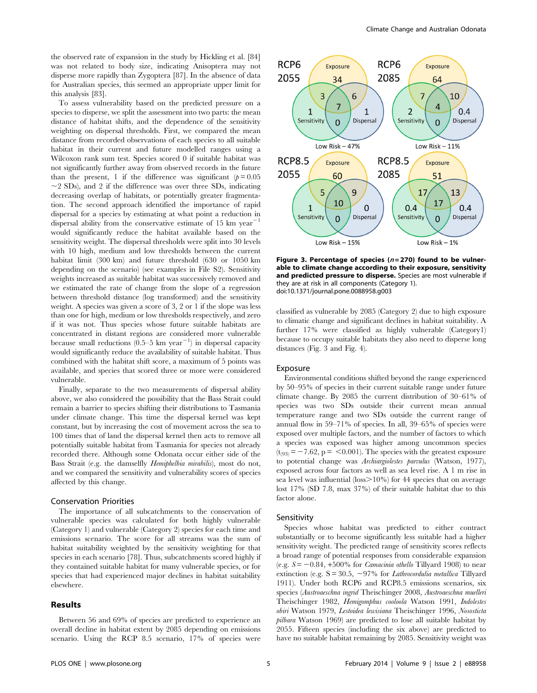the observed rate of expansion in the study by Hickling et al. [84] was not related to body size, indicating Anisoptera may not disperse more rapidly than Zygoptera [87]. In the absence of data for Australian species, this seemed an appropriate upper limit for this analysis [83].

To assess vulnerability based on the predicted pressure on a species to disperse, we split the assessment into two parts: the mean distance of habitat shifts, and the dependence of the sensitivity weighting on dispersal thresholds. First, we compared the mean distance from recorded observations of each species to all suitable habitat in their current and future modelled ranges using a Wilcoxon rank sum test. Species scored 0 if suitable habitat was not significantly further away from observed records in the future than the present, 1 if the difference was significant  $(p=0.05$  $\sim$ 2 SDs), and 2 if the difference was over three SDs, indicating decreasing overlap of habitats, or potentially greater fragmentation. The second approach identified the importance of rapid dispersal for a species by estimating at what point a reduction in dispersal ability from the conservative estimate of 15 km year<sup>-1</sup> would significantly reduce the habitat available based on the sensitivity weight. The dispersal thresholds were split into 30 levels with 10 high, medium and low thresholds between the current habitat limit (300 km) and future threshold (630 or 1050 km depending on the scenario) (see examples in File S2). Sensitivity weights increased as suitable habitat was successively removed and we estimated the rate of change from the slope of a regression between threshold distance (log transformed) and the sensitivity weight. A species was given a score of 3, 2 or 1 if the slope was less than one for high, medium or low thresholds respectively, and zero if it was not. Thus species whose future suitable habitats are concentrated in distant regions are considered more vulnerable because small reductions (0.5–5 km year<sup>-1</sup>) in dispersal capacity would significantly reduce the availability of suitable habitat. Thus combined with the habitat shift score, a maximum of 5 points was available, and species that scored three or more were considered vulnerable.

Finally, separate to the two measurements of dispersal ability above, we also considered the possibility that the Bass Strait could remain a barrier to species shifting their distributions to Tasmania under climate change. This time the dispersal kernel was kept constant, but by increasing the cost of movement across the sea to 100 times that of land the dispersal kernel then acts to remove all potentially suitable habitat from Tasmania for species not already recorded there. Although some Odonata occur either side of the Bass Strait (e.g. the damselfly Hemiphelbia mirabilis), most do not, and we compared the sensitivity and vulnerability scores of species affected by this change.

#### Conservation Priorities

The importance of all subcatchments to the conservation of vulnerable species was calculated for both highly vulnerable (Category 1) and vulnerable (Category 2) species for each time and emissions scenario. The score for all streams was the sum of habitat suitability weighted by the sensitivity weighting for that species in each scenario [78]. Thus, subcatchments scored highly if they contained suitable habitat for many vulnerable species, or for species that had experienced major declines in habitat suitability elsewhere.

#### Results



Figure 3. Percentage of species  $(n=270)$  found to be vulnerable to climate change according to their exposure, sensitivity and predicted pressure to disperse. Species are most vulnerable if they are at risk in all components (Category 1). doi:10.1371/journal.pone.0088958.g003

classified as vulnerable by 2085 (Category 2) due to high exposure to climatic change and significant declines in habitat suitability. A further 17% were classified as highly vulnerable (Category1) because to occupy suitable habitats they also need to disperse long distances (Fig. 3 and Fig. 4).

# Exposure

Environmental conditions shifted beyond the range experienced by 50–95% of species in their current suitable range under future climate change. By 2085 the current distribution of 30–61% of species was two SDs outside their current mean annual temperature range and two SDs outside the current range of annual flow in 59–71% of species. In all, 39–65% of species were exposed over multiple factors, and the number of factors to which a species was exposed was higher among uncommon species  $(t<sub>(93)</sub> = -7.62, p = <0.001)$ . The species with the greatest exposure to potential change was Archiargiolestes parvulus (Watson, 1977), exposed across four factors as well as sea level rise. A 1 m rise in sea level was influential (loss $>10\%$ ) for 44 species that on average lost 17% (SD 7.8, max 37%) of their suitable habitat due to this factor alone.

#### Sensitivity

Species whose habitat was predicted to either contract substantially or to become significantly less suitable had a higher sensitivity weight. The predicted range of sensitivity scores reflects a broad range of potential responses from considerable expansion (e.g.  $S = -0.84$ , +500% for *Camacinia othello* Tillyard 1908) to near extinction (e.g.  $S = 30.5$ ,  $-97\%$  for *Lathrocordulia metallica* Tillyard 1911). Under both RCP6 and RCP8.5 emissions scenarios, six species (Austroaeschna ingrid Theischinger 2008, Austroaeschna muelleri Theischinger 1982, Hemigomphus cooloola Watson 1991, Indolestes obiri Watson 1979, Lestoidea lewisiana Theischinger 1996, Nososticta pilbara Watson 1969) are predicted to lose all suitable habitat by 2055. Fifteen species (including the six above) are predicted to have no suitable habitat remaining by 2085. Sensitivity weight was

Between 56 and 69% of species are predicted to experience an overall decline in habitat extent by 2085 depending on emissions scenario. Using the RCP 8.5 scenario, 17% of species were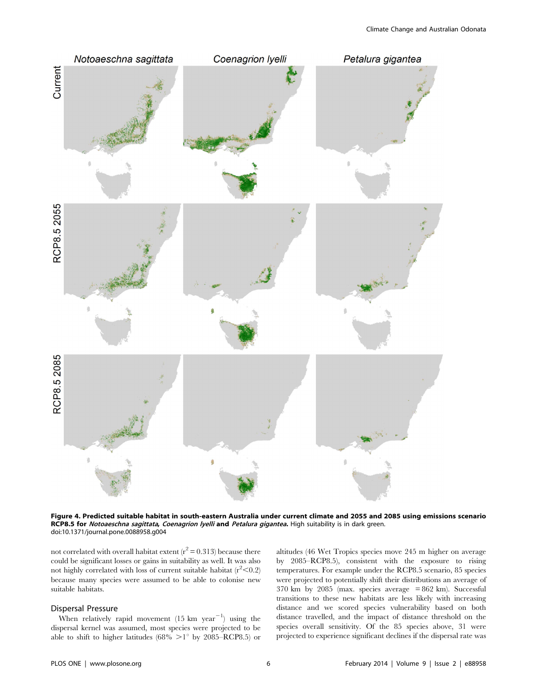

Figure 4. Predicted suitable habitat in south-eastern Australia under current climate and 2055 and 2085 using emissions scenario RCP8.5 for Notoaeschna sagittata, Coenagrion lyelli and Petalura gigantea. High suitability is in dark green. doi:10.1371/journal.pone.0088958.g004

not correlated with overall habitat extent  $(r^2 = 0.313)$  because there could be significant losses or gains in suitability as well. It was also not highly correlated with loss of current suitable habitat  $(r^2<0.2)$ because many species were assumed to be able to colonise new suitable habitats.

#### Dispersal Pressure

When relatively rapid movement  $(15 \text{ km } \text{ year}^{-1})$  using the dispersal kernel was assumed, most species were projected to be able to shift to higher latitudes (68%  $>1^{\circ}$  by 2085–RCP8.5) or altitudes (46 Wet Tropics species move 245 m higher on average by 2085–RCP8.5), consistent with the exposure to rising temperatures. For example under the RCP8.5 scenario, 85 species were projected to potentially shift their distributions an average of  $370 \text{ km}$  by  $2085 \text{ (max. species average = } 862 \text{ km})$ . Successful transitions to these new habitats are less likely with increasing distance and we scored species vulnerability based on both distance travelled, and the impact of distance threshold on the species overall sensitivity. Of the 85 species above, 31 were projected to experience significant declines if the dispersal rate was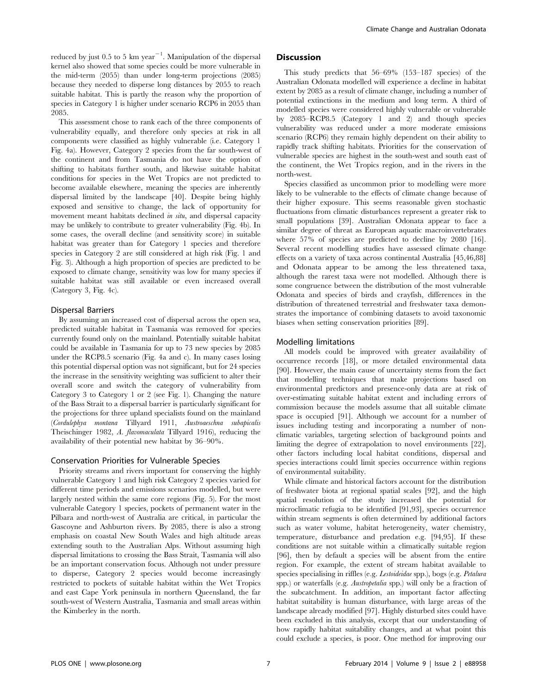reduced by just 0.5 to 5  $km$  year<sup>-1</sup>. Manipulation of the dispersal kernel also showed that some species could be more vulnerable in the mid-term (2055) than under long-term projections (2085) because they needed to disperse long distances by 2055 to reach suitable habitat. This is partly the reason why the proportion of species in Category 1 is higher under scenario RCP6 in 2055 than 2085.

This assessment chose to rank each of the three components of vulnerability equally, and therefore only species at risk in all components were classified as highly vulnerable (i.e. Category 1 Fig. 4a). However, Category 2 species from the far south-west of the continent and from Tasmania do not have the option of shifting to habitats further south, and likewise suitable habitat conditions for species in the Wet Tropics are not predicted to become available elsewhere, meaning the species are inherently dispersal limited by the landscape [40]. Despite being highly exposed and sensitive to change, the lack of opportunity for movement meant habitats declined in situ, and dispersal capacity may be unlikely to contribute to greater vulnerability (Fig. 4b). In some cases, the overall decline (and sensitivity score) in suitable habitat was greater than for Category 1 species and therefore species in Category 2 are still considered at high risk (Fig. 1 and Fig. 3). Although a high proportion of species are predicted to be exposed to climate change, sensitivity was low for many species if suitable habitat was still available or even increased overall (Category 3, Fig. 4c).

# Dispersal Barriers

By assuming an increased cost of dispersal across the open sea, predicted suitable habitat in Tasmania was removed for species currently found only on the mainland. Potentially suitable habitat could be available in Tasmania for up to 73 new species by 2085 under the RCP8.5 scenario (Fig. 4a and c). In many cases losing this potential dispersal option was not significant, but for 24 species the increase in the sensitivity weighting was sufficient to alter their overall score and switch the category of vulnerability from Category 3 to Category 1 or 2 (see Fig. 1). Changing the nature of the Bass Strait to a dispersal barrier is particularly significant for the projections for three upland specialists found on the mainland (Cordulephya montana Tillyard 1911, Austroaeschna subapicalis Theischinger 1982, A. flavomaculata Tillyard 1916), reducing the availability of their potential new habitat by 36–90%.

#### Conservation Priorities for Vulnerable Species

Priority streams and rivers important for conserving the highly vulnerable Category 1 and high risk Category 2 species varied for different time periods and emissions scenarios modelled, but were largely nested within the same core regions (Fig. 5). For the most vulnerable Category 1 species, pockets of permanent water in the Pilbara and north-west of Australia are critical, in particular the Gascoyne and Ashburton rivers. By 2085, there is also a strong emphasis on coastal New South Wales and high altitude areas extending south to the Australian Alps. Without assuming high dispersal limitations to crossing the Bass Strait, Tasmania will also be an important conservation focus. Although not under pressure to disperse, Category 2 species would become increasingly restricted to pockets of suitable habitat within the Wet Tropics and east Cape York peninsula in northern Queensland, the far south-west of Western Australia, Tasmania and small areas within the Kimberley in the north.

# **Discussion**

This study predicts that 56–69% (153–187 species) of the Australian Odonata modelled will experience a decline in habitat extent by 2085 as a result of climate change, including a number of potential extinctions in the medium and long term. A third of modelled species were considered highly vulnerable or vulnerable by 2085–RCP8.5 (Category 1 and 2) and though species vulnerability was reduced under a more moderate emissions scenario (RCP6) they remain highly dependent on their ability to rapidly track shifting habitats. Priorities for the conservation of vulnerable species are highest in the south-west and south east of the continent, the Wet Tropics region, and in the rivers in the north-west.

Species classified as uncommon prior to modelling were more likely to be vulnerable to the effects of climate change because of their higher exposure. This seems reasonable given stochastic fluctuations from climatic disturbances represent a greater risk to small populations [39]. Australian Odonata appear to face a similar degree of threat as European aquatic macroinvertebrates where 57% of species are predicted to decline by 2080 [16]. Several recent modelling studies have assessed climate change effects on a variety of taxa across continental Australia [45,46,88] and Odonata appear to be among the less threatened taxa, although the rarest taxa were not modelled. Although there is some congruence between the distribution of the most vulnerable Odonata and species of birds and crayfish, differences in the distribution of threatened terrestrial and freshwater taxa demonstrates the importance of combining datasets to avoid taxonomic biases when setting conservation priorities [89].

### Modelling limitations

All models could be improved with greater availability of occurrence records [18], or more detailed environmental data [90]. However, the main cause of uncertainty stems from the fact that modelling techniques that make projections based on environmental predictors and presence-only data are at risk of over-estimating suitable habitat extent and including errors of commission because the models assume that all suitable climate space is occupied [91]. Although we account for a number of issues including testing and incorporating a number of nonclimatic variables, targeting selection of background points and limiting the degree of extrapolation to novel environments [22], other factors including local habitat conditions, dispersal and species interactions could limit species occurrence within regions of environmental suitability.

While climate and historical factors account for the distribution of freshwater biota at regional spatial scales [92], and the high spatial resolution of the study increased the potential for microclimatic refugia to be identified [91,93], species occurrence within stream segments is often determined by additional factors such as water volume, habitat heterogeneity, water chemistry, temperature, disturbance and predation e.g. [94,95]. If these conditions are not suitable within a climatically suitable region [96], then by default a species will be absent from the entire region. For example, the extent of stream habitat available to species specialising in riffles (e.g. Lestoideidae spp.), bogs (e.g. Petalura spp.) or waterfalls (e.g. Austropetalia spp.) will only be a fraction of the subcatchment. In addition, an important factor affecting habitat suitability is human disturbance, with large areas of the landscape already modified [97]. Highly disturbed sites could have been excluded in this analysis, except that our understanding of how rapidly habitat suitability changes, and at what point this could exclude a species, is poor. One method for improving our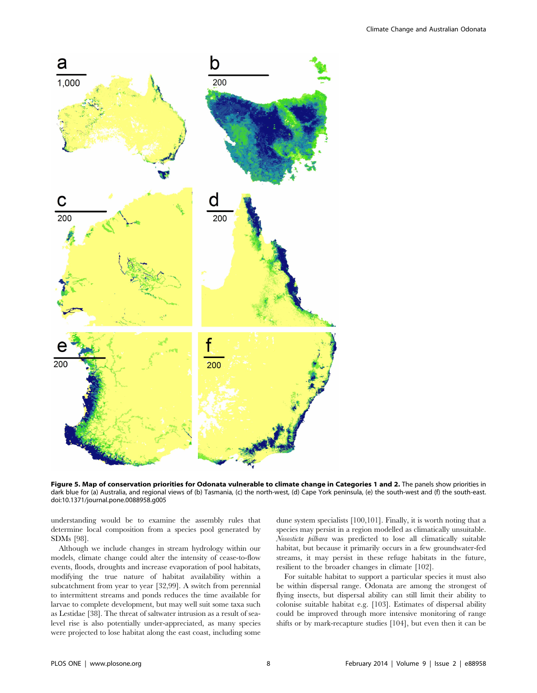

Figure 5. Map of conservation priorities for Odonata vulnerable to climate change in Categories 1 and 2. The panels show priorities in dark blue for (a) Australia, and regional views of (b) Tasmania, (c) the north-west, (d) Cape York peninsula, (e) the south-west and (f) the south-east. doi:10.1371/journal.pone.0088958.g005

understanding would be to examine the assembly rules that determine local composition from a species pool generated by SDMs [98].

Although we include changes in stream hydrology within our models, climate change could alter the intensity of cease-to-flow events, floods, droughts and increase evaporation of pool habitats, modifying the true nature of habitat availability within a subcatchment from year to year [32,99]. A switch from perennial to intermittent streams and ponds reduces the time available for larvae to complete development, but may well suit some taxa such as Lestidae [38]. The threat of saltwater intrusion as a result of sealevel rise is also potentially under-appreciated, as many species were projected to lose habitat along the east coast, including some

dune system specialists [100,101]. Finally, it is worth noting that a species may persist in a region modelled as climatically unsuitable. Nososticta pilbara was predicted to lose all climatically suitable habitat, but because it primarily occurs in a few groundwater-fed streams, it may persist in these refuge habitats in the future, resilient to the broader changes in climate [102].

For suitable habitat to support a particular species it must also be within dispersal range. Odonata are among the strongest of flying insects, but dispersal ability can still limit their ability to colonise suitable habitat e.g. [103]. Estimates of dispersal ability could be improved through more intensive monitoring of range shifts or by mark-recapture studies [104], but even then it can be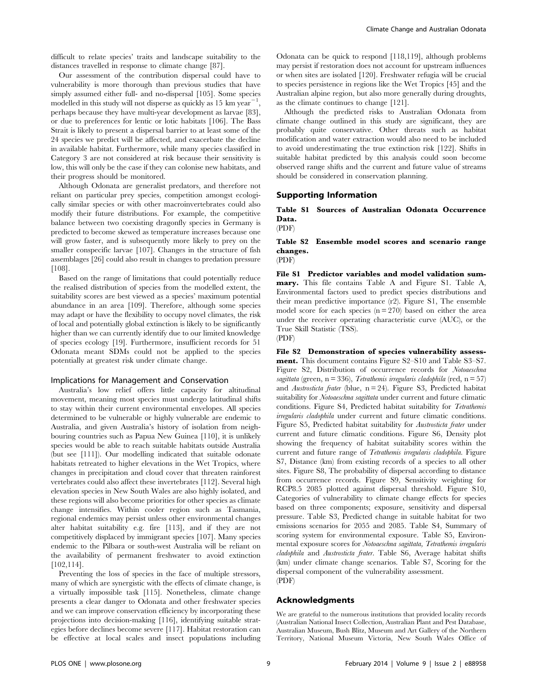difficult to relate species' traits and landscape suitability to the distances travelled in response to climate change [87].

Our assessment of the contribution dispersal could have to vulnerability is more thorough than previous studies that have simply assumed either full- and no-dispersal [105]. Some species modelled in this study will not disperse as quickly as 15 km year<sup>-1</sup>, perhaps because they have multi-year development as larvae [83], or due to preferences for lentic or lotic habitats [106]. The Bass Strait is likely to present a dispersal barrier to at least some of the 24 species we predict will be affected, and exacerbate the decline in available habitat. Furthermore, while many species classified in Category 3 are not considered at risk because their sensitivity is low, this will only be the case if they can colonise new habitats, and their progress should be monitored.

Although Odonata are generalist predators, and therefore not reliant on particular prey species, competition amongst ecologically similar species or with other macroinvertebrates could also modify their future distributions. For example, the competitive balance between two coexisting dragonfly species in Germany is predicted to become skewed as temperature increases because one will grow faster, and is subsequently more likely to prey on the smaller conspecific larvae [107]. Changes in the structure of fish assemblages [26] could also result in changes to predation pressure [108].

Based on the range of limitations that could potentially reduce the realised distribution of species from the modelled extent, the suitability scores are best viewed as a species' maximum potential abundance in an area [109]. Therefore, although some species may adapt or have the flexibility to occupy novel climates, the risk of local and potentially global extinction is likely to be significantly higher than we can currently identify due to our limited knowledge of species ecology [19]. Furthermore, insufficient records for 51 Odonata meant SDMs could not be applied to the species potentially at greatest risk under climate change.

#### Implications for Management and Conservation

Australia's low relief offers little capacity for altitudinal movement, meaning most species must undergo latitudinal shifts to stay within their current environmental envelopes. All species determined to be vulnerable or highly vulnerable are endemic to Australia, and given Australia's history of isolation from neighbouring countries such as Papua New Guinea [110], it is unlikely species would be able to reach suitable habitats outside Australia (but see [111]). Our modelling indicated that suitable odonate habitats retreated to higher elevations in the Wet Tropics, where changes in precipitation and cloud cover that threaten rainforest vertebrates could also affect these invertebrates [112]. Several high elevation species in New South Wales are also highly isolated, and these regions will also become priorities for other species as climate change intensifies. Within cooler region such as Tasmania, regional endemics may persist unless other environmental changes alter habitat suitability e.g. fire [113], and if they are not competitively displaced by immigrant species [107]. Many species endemic to the Pilbara or south-west Australia will be reliant on the availability of permanent freshwater to avoid extinction [102,114].

Preventing the loss of species in the face of multiple stressors, many of which are synergistic with the effects of climate change, is a virtually impossible task [115]. Nonetheless, climate change presents a clear danger to Odonata and other freshwater species and we can improve conservation efficiency by incorporating these projections into decision-making [116], identifying suitable strategies before declines become severe [117]. Habitat restoration can be effective at local scales and insect populations including Odonata can be quick to respond [118,119], although problems may persist if restoration does not account for upstream influences or when sites are isolated [120]. Freshwater refugia will be crucial to species persistence in regions like the Wet Tropics [45] and the Australian alpine region, but also more generally during droughts, as the climate continues to change [121].

Although the predicted risks to Australian Odonata from climate change outlined in this study are significant, they are probably quite conservative. Other threats such as habitat modification and water extraction would also need to be included to avoid underestimating the true extinction risk [122]. Shifts in suitable habitat predicted by this analysis could soon become observed range shifts and the current and future value of streams should be considered in conservation planning.

# Supporting Information

Table S1 Sources of Australian Odonata Occurrence Data.

(PDF)

### Table S2 Ensemble model scores and scenario range changes. (PDF)

File S1 Predictor variables and model validation summary. This file contains Table A and Figure S1. Table A, Environmental factors used to predict species distributions and their mean predictive importance (r2). Figure S1, The ensemble model score for each species  $(n = 270)$  based on either the area under the receiver operating characteristic curve (AUC), or the True Skill Statistic (TSS).

(PDF)

File S2 Demonstration of species vulnerability assessment. This document contains Figure S2–S10 and Table S3–S7. Figure S2, Distribution of occurrence records for Notoaeschna sagittata (green, n = 336), Tetrathemis irregularis cladophila (red, n = 57) and Austrosticta frater (blue,  $n = 24$ ). Figure S3, Predicted habitat suitability for Notoaeschna sagittata under current and future climatic conditions. Figure S4, Predicted habitat suitability for Tetrathemis irregularis cladophila under current and future climatic conditions. Figure S5, Predicted habitat suitability for Austrosticta frater under current and future climatic conditions. Figure S6, Density plot showing the frequency of habitat suitability scores within the current and future range of Tetrathemis irregularis cladophila. Figure S7, Distance (km) from existing records of a species to all other sites. Figure S8, The probability of dispersal according to distance from occurrence records. Figure S9, Sensitivity weighting for RCP8.5 2085 plotted against dispersal threshold. Figure S10, Categories of vulnerability to climate change effects for species based on three components; exposure, sensitivity and dispersal pressure. Table S3, Predicted change in suitable habitat for two emissions scenarios for 2055 and 2085. Table S4, Summary of scoring system for environmental exposure. Table S5, Environmental exposure scores for Notoaeschna sagittata, Tetrathemis irregularis cladophila and Austrosticta frater. Table S6, Average habitat shifts (km) under climate change scenarios. Table S7, Scoring for the dispersal component of the vulnerability assessment. (PDF)

#### Acknowledgments

We are grateful to the numerous institutions that provided locality records (Australian National Insect Collection, Australian Plant and Pest Database, Australian Museum, Bush Blitz, Museum and Art Gallery of the Northern Territory, National Museum Victoria, New South Wales Office of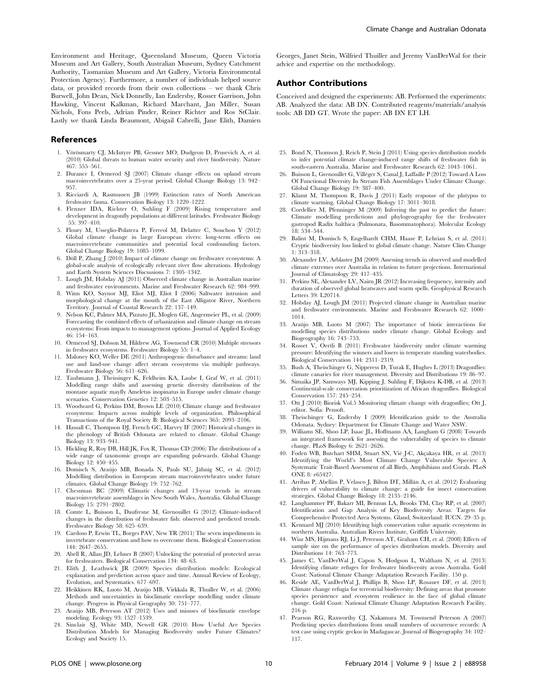Environment and Heritage, Queensland Museum, Queen Victoria Museum and Art Gallery, South Australian Museum, Sydney Catchment Authority, Tasmanian Museum and Art Gallery, Victoria Environmental Protection Agency). Furthermore, a number of individuals helped source data, or provided records from their own collections – we thank Chris Burwell, John Dean, Nick Donnelly, Ian Endersby, Rosser Garrison, John Hawking, Vincent Kalkman, Richard Marchant, Jan Miller, Susan Nichols, Fons Peels, Adrian Pinder, Reiner Richter and Ros StClair. Lastly we thank Linda Beaumont, Abigail Cabrelli, Jane Elith, Damien

#### References

- 1. Vörösmarty CJ, McIntyre PB, Gessner MO, Dudgeon D, Prusevich A, et al. (2010) Global threats to human water security and river biodiversity. Nature 467: 555–561.
- 2. Durance I, Ormerod SJ (2007) Climate change effects on upland stream macroinvertebrates over a 25-year period. Global Change Biology 13: 942– 957.
- 3. Ricciardi A, Rasmussen JB (1999) Extinction rates of North American freshwater fauna. Conservation Biology 13: 1220–1222.
- 4. Flenner IDA, Richter O, Suhling F (2009) Rising temperature and development in dragonfly populations at different latitudes. Freshwater Biology 55: 397–410.
- 5. Floury M, Usseglio-Polatera P, Ferreol M, Delattre C, Souchon Y (2012) Global climate change in large European rivers: long-term effects on macroinvertebrate communities and potential local confounding factors. Global Change Biology 19: 1085–1099.
- 6. Döll P, Zhang J (2010) Impact of climate change on freshwater ecosystems: A global-scale analysis of ecologically relevant river flow alterations. Hydrology and Earth System Sciences Discussions 7: 1305–1342.
- 7. Lough JM, Hobday AJ (2011) Observed climate change in Australian marine and freshwater environments. Marine and Freshwater Research 62: 984–999.
- 8. Winn KO, Saynor MJ, Eliot MJ, Eliot I (2006) Saltwater intrusion and morphological change at the mouth of the East Alligator River, Northern Territory. Journal of Coastal Research 22: 137–149.
- 9. Nelson KC, Palmer MA, Pizzuto JE, Moglen GE, Angermeier PL, et al. (2009) Forecasting the combined effects of urbanization and climate change on stream ecosystems: From impacts to management options. Journal of Applied Ecology 46: 154–163.
- 10. Ormerod SJ, Dobson M, Hildrew AG, Townsend CR (2010) Multiple stressors in freshwater ecosystems. Freshwater Biology 55: 1–4.
- 11. Maloney KO, Weller DE (2011) Anthropogenic disturbance and streams: land use and land-use change affect stream ecosystems via multiple pathways. Freshwater Biology 56: 611–626.
- 12. Taubmann J, Theissinger K, Feldheim KA, Laube I, Graf W, et al. (2011) Modelling range shifts and assessing genetic diversity distribution of the montane aquatic mayfly Ameletus inopinatus in Europe under climate change scenarios. Conservation Genetics 12: 503–515.
- 13. Woodward G, Perkins DM, Brown LE (2010) Climate change and freshwater ecosystems: Impacts across multiple levels of organization. Philosophical Transactions of the Royal Society B: Biological Sciences 365: 2093–2106.
- 14. Hassall C, Thompson DJ, French GC, Harvey IF (2007) Historical changes in the phenology of British Odonata are related to climate. Global Change Biology 13: 933–941.
- 15. Hickling R, Roy DB, Hill JK, Fox R, Thomas CD (2006) The distributions of a wide range of taxonomic groups are expanding polewards. Global Change Biology 12: 450–455.
- 16. Domisch S, Araújo MB, Bonada N, Pauls SU, Jähnig SC, et al. (2012) Modelling distribution in European stream macroinvertebrates under future climates. Global Change Biology 19: 752–762.
- 17. Chessman BC (2009) Climatic changes and 13-year trends in stream macroinvertebrate assemblages in New South Wales, Australia. Global Change Biology 15: 2791–2802.
- 18. Comte L, Buisson L, Daufresne M, Grenouillet G (2012) Climate-induced changes in the distribution of freshwater fish: observed and predicted trends. Freshwater Biology 58: 625–639.
- 19. Cardoso P, Erwin TL, Borges PAV, New TR (2011) The seven impediments in invertebrate conservation and how to overcome them. Biological Conservation 144: 2647–2655.
- 20. Abell R, Allan JD, Lehner B (2007) Unlocking the potential of protected areas for freshwaters. Biological Conservation 134: 48–63.
- 21. Elith J, Leathwick JR (2009) Species distribution models: Ecological explanation and prediction across space and time. Annual Review of Ecology, Evolution, and Systematics. 677–697.
- 22. Heikkinen RK, Luoto M, Arau´jo MB, Virkkala R, Thuiller W, et al. (2006) Methods and uncertainties in bioclimatic envelope modelling under climate change. Progress in Physical Geography 30: 751–777.
- 23. Arau´jo MB, Peterson AT (2012) Uses and misuses of bioclimatic envelope modeling. Ecology 93: 1527–1539.
- 24. Sinclair SJ, White MD, Newell GR (2010) How Useful Are Species Distribution Models for Managing Biodiversity under Future Climates? Ecology and Society 15.

Georges, Janet Stein, Wilfried Thuiller and Jeremy VanDerWal for their advice and expertise on the methodology.

# Author Contributions

Conceived and designed the experiments: AB. Performed the experiments: AB. Analyzed the data: AB DN. Contributed reagents/materials/analysis tools: AB DD GT. Wrote the paper: AB DN ET LH.

- 25. Bond N, Thomson J, Reich P, Stein J (2011) Using species distribution models to infer potential climate change-induced range shifts of freshwater fish in south-eastern Australia. Marine and Freshwater Research 62: 1043–1061.
- 26. Buisson L, Grenouillet G, Villéger S, Canal J, Laffaille P (2012) Toward A Loss Of Functional Diversity In Stream Fish Assemblages Under Climate Change. Global Change Biology 19: 387–400.
- 27. Klamt M, Thompson R, Davis J (2011) Early response of the platypus to climate warming. Global Change Biology 17: 3011–3018.
- 28. Cordellier M, Pfenninger M (2009) Inferring the past to predict the future: Climate modelling predictions and phylogeography for the freshwater gastropod Radix balthica (Pulmonata, Basommatophora). Molecular Ecology 18: 534–544.
- 29. Balint M, Domisch S, Engelhardt CHM, Haase P, Lehrian S, et al. (2011) Cryptic biodiversity loss linked to global climate change. Nature Clim Change 1: 313–318.
- 30. Alexander LV, Arblaster JM (2009) Assessing trends in observed and modelled climate extremes over Australia in relation to future projections. International Journal of Climatology 29: 417–435.
- 31. Perkins SE, Alexander LV, Nairn JR (2012) Increasing frequency, intensity and duration of observed global heatwaves and warm spells. Geophysical Research Letters 39: L20714.
- 32. Hobday AJ, Lough JM (2011) Projected climate change in Australian marine and freshwater environments. Marine and Freshwater Research 62: 1000– 1014.
- 33. Arau´jo MB, Luoto M (2007) The importance of biotic interactions for modelling species distributions under climate change. Global Ecology and Biogeography 16: 743–753.
- 34. Rosset V, Oertli B (2011) Freshwater biodiversity under climate warming pressure: Identifying the winners and losers in temperate standing waterbodies. Biological Conservation 144: 2311–2319.
- 35. Bush A, Theischinger G, Nipperess D, Turak E, Hughes L (2013) Dragonflies: climate canaries for river management. Diversity and Distributions 19: 86–97.
- 36. Simaika JP, Samways MJ, Kipping J, Suhling F, Dijkstra K-DB, et al. (2013) Continental-scale conservation prioritization of African dragonflies. Biological Conservation 157: 245–254.
- 37. Ott J (2010) Biorisk Vol.5 Monitoring climate change with dragonflies; Ott J, editor. Sofia: Pensoft.
- 38. Theischinger G, Endersby I (2009) Identification guide to the Australia Odonata. Sydney: Department for Climate Change and Water NSW.
- 39. Williams SE, Shoo LP, Isaac JL, Hoffmann AA, Langham G (2008) Towards an integrated framework for assessing the vulnerability of species to climate change. PLoS Biology 6: 2621–2626.
- 40. Foden WB, Butchart SHM, Stuart SN, Vié J-C, Akçakaya HR, et al. (2013) Identifying the World's Most Climate Change Vulnerable Species: A Systematic Trait-Based Assessment of all Birds, Amphibians and Corals. PLoS ONE 8: e65427.
- 41. Arribas P, Abellán P, Velasco J, Bilton DT, Millán A, et al. (2012) Evaluating drivers of vulnerability to climate change: a guide for insect conservation strategies. Global Change Biology 18: 2135–2146.
- 42. Langhammer PF, Bakarr MI, Bennun LA, Brooks TM, Clay RP, et al. (2007) Identification and Gap Analysis of Key Biodiversity Areas: Targets for Comprehensive Protected Area Systems. Gland, Switzerland: IUCN. 29–35 p.
- 43. Kennard MJ (2010) Identifying high conservation value aquatic ecosystems in northern Australia. Australian Rivers Institute, Griffith University.
- 44. Wisz MS, Hijmans RJ, Li J, Peterson AT, Graham CH, et al. (2008) Effects of sample size on the performance of species distribution models. Diversity and Distributions 14: 763–773.
- 45. James C, VanDerWal J, Capon S, Hodgson L, Waltham N, et al. (2013) Identifying climate refuges for freshwater biodiversity across Australia. Gold Coast: National Climate Change Adaptation Research Facility. 150 p.
- 46. Reside AE, VanDerWal J, Phillips B, Shoo LP, Rosauer DF, et al. (2013) Climate change refugia for terrestrial biodiversity: Defining areas that promote species persistence and ecosystem resilience in the face of global climate change. Gold Coast: National Climate Change Adaptation Research Facility. 216 p.
- 47. Pearson RG, Raxworthy CJ, Nakamura M, Townsend Peterson A (2007) Predicting species distributions from small numbers of occurrence records: A test case using cryptic geckos in Madagascar. Journal of Biogeography 34: 102– 117.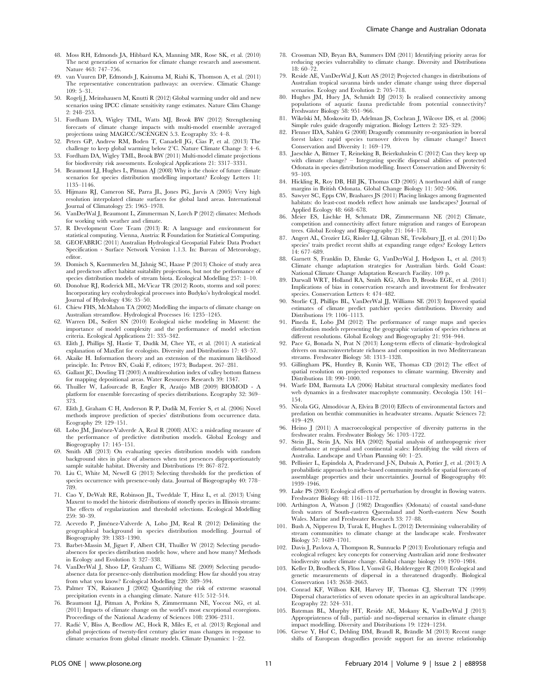- 48. Moss RH, Edmonds JA, Hibbard KA, Manning MR, Rose SK, et al. (2010) The next generation of scenarios for climate change research and assessment. Nature 463: 747–756.
- 49. van Vuuren DP, Edmonds J, Kainuma M, Riahi K, Thomson A, et al. (2011) The representative concentration pathways: an overview. Climatic Change 109: 5–31.
- 50. Rogelj J, Meinshausen M, Knutti R (2012) Global warming under old and new scenarios using IPCC climate sensitivity range estimates. Nature Clim Change 2: 248–253.
- 51. Fordham DA, Wigley TML, Watts MJ, Brook BW (2012) Strengthening forecasts of climate change impacts with multi-model ensemble averaged projections using MAGICC/SCENGEN 5.3. Ecography 35: 4–8.
- 52. Peters GP, Andrew RM, Boden T, Canadell JG, Cias P, et al. (2013) The challenge to keep global warming below  $2^{\circ}$ C. Nature Climate Change 3: 4–6.
- 53. Fordham DA, Wigley TML, Brook BW (2011) Multi-model climate projections for biodiversity risk assessments. Ecological Applications 21: 3317–3331.
- 54. Beaumont LJ, Hughes L, Pitman AJ (2008) Why is the choice of future climate scenarios for species distribution modelling important? Ecology Letters 11: 1135–1146.
- 55. Hijmans RJ, Cameron SE, Parra JL, Jones PG, Jarvis A (2005) Very high resolution interpolated climate surfaces for global land areas. International Journal of Climatology 25: 1965–1978.
- 56. VanDerWal J, Beaumont L, Zimmerman N, Lorch P (2012) climates: Methods for working with weather and climate.
- 57. R Development Core Team (2013) R: A language and environment for statistical computing. Vienna, Austria: R Foundation for Statistical Computing.
- 58. GEOFABRIC (2011) Australian Hydrological Geospatial Fabric Data Product Specification - Surface Network Version 1.1.3. In: Bureau of Meteorology, editor.
- 59. Domisch S, Kuemmerlen M, Jähnig SC, Haase P (2013) Choice of study area and predictors affect habitat suitability projections, but not the performance of species distribution models of stream biota. Ecological Modelling 257: 1–10.
- 60. Donohue RJ, Roderick ML, McVicar TR (2012) Roots, storms and soil pores: Incorporating key ecohydrological processes into Budyko's hydrological model. Journal of Hydrology 436: 35–50.
- 61. Chiew FHS, McMahon TA (2002) Modelling the impacts of climate change on Australian streamflow. Hydrological Processes 16: 1235–1245.
- 62. Warren DL, Seifert SN (2010) Ecological niche modeling in Maxent: the importance of model complexity and the performance of model selection criteria. Ecological Applications 21: 335–342.
- 63. Elith J, Phillips SJ, Hastie T, Dudı´k M, Chee YE, et al. (2011) A statistical explanation of MaxEnt for ecologists. Diversity and Distributions 17: 43–57.
- 64. Akaike H. Information theory and an extension of the maximum likelihood principle. In: Petrov BN, Csaki F, editors; 1973; Budapest. 267–281.
- 65. Gallant JC, Dowling TI (2003) A multiresolution index of valley bottom flatness for mapping depositional areas. Water Resources Research 39: 1347.
- 66. Thuiller W, Lafourcade B, Engler R, Araújo MB (2009) BIOMOD A platform for ensemble forecasting of species distributions. Ecography 32: 369– 373.
- 67. Elith J, Graham C H, Anderson R P, Dudík M, Ferrier S, et al. (2006) Novel methods improve prediction of species' distributions from occurrence data. Ecography 29: 129–151.
- 68. Lobo JM, Jime´nez-Valverde A, Real R (2008) AUC: a misleading measure of the performance of predictive distribution models. Global Ecology and Biogeography 17: 145–151.
- 69. Smith AB (2013) On evaluating species distribution models with random background sites in place of absences when test presences disproportionately sample suitable habitat. Diversity and Distributions 19: 867–872.
- 70. Liu C, White M, Newell G (2013) Selecting thresholds for the prediction of species occurrence with presence-only data. Journal of Biogeography 40: 778– 789.
- 71. Cao Y, DeWalt RE, Robinson JL, Tweddale T, Hinz L, et al. (2013) Using Maxent to model the historic distributions of stonefly species in Illinois streams: The effects of regularization and threshold selections. Ecological Modelling 259: 30–39.
- 72. Acevedo P, Jiménez-Valverde A, Lobo JM, Real R (2012) Delimiting the geographical background in species distribution modelling. Journal of Biogeography 39: 1383–1390.
- 73. Barbet-Massin M, Jiguet F, Albert CH, Thuiller W (2012) Selecting pseudoabsences for species distribution models: how, where and how many? Methods in Ecology and Evolution 3: 327–338.
- 74. VanDerWal J, Shoo LP, Graham C, Williams SE (2009) Selecting pseudoabsence data for presence-only distribution modeling: How far should you stray from what you know? Ecological Modelling 220: 589–594.
- 75. Palmer TN, Raisanen J (2002) Quantifying the risk of extreme seasonal precipitation events in a changing climate. Nature 415: 512–514.
- 76. Beaumont LJ, Pitman A, Perkins S, Zimmermann NE, Yoccoz NG, et al. (2011) Impacts of climate change on the world's most exceptional ecoregions. Proceedings of the National Academy of Sciences 108: 2306–2311.
- 77. Radic´ V, Bliss A, Beedlow AC, Hock R, Miles E, et al. (2013) Regional and global projections of twenty-first century glacier mass changes in response to climate scenarios from global climate models. Climate Dynamics: 1–22.
- 78. Crossman ND, Bryan BA, Summers DM (2011) Identifying priority areas for reducing species vulnerability to climate change. Diversity and Distributions 18: 60–72.
- 79. Reside AE, VanDerWal J, Kutt AS (2012) Projected changes in distributions of Australian tropical savanna birds under climate change using three dispersal scenarios. Ecology and Evolution 2: 705–718.
- 80. Hughes JM, Huey JA, Schmidt DJ (2013) Is realised connectivity among populations of aquatic fauna predictable from potential connectivity? Freshwater Biology 58: 951–966.
- 81. Wikelski M, Moskowitz D, Adelman JS, Cochran J, Wilcove DS, et al. (2006) Simple rules guide dragonfly migration. Biology Letters 2: 325–329.
- 82. Flenner IDA, Sahlén G (2008) Dragonfly community re-organisation in boreal forest lakes: rapid species turnover driven by climate change? Insect Conservation and Diversity 1: 169–179.
- 83. Jaeschke A, Bittner T, Reineking B, Beierkuhnlein C (2012) Can they keep up with climate change? Integrating specific dispersal abilities of protected Odonata in species distribution modelling. Insect Conservation and Diversity 6: 93–103.
- 84. Hickling R, Roy DB, Hill JK, Thomas CD (2005) A northward shift of range margins in British Odonata. Global Change Biology 11: 502–506.
- 85. Sawyer SC, Epps CW, Brashares JS (2011) Placing linkages among fragmented habitats: do least-cost models reflect how animals use landscapes? Journal of Applied Ecology 48: 668–678.
- 86. Meier ES, Lischke H, Schmatz DR, Zimmermann NE (2012) Climate, competition and connectivity affect future migration and ranges of European trees. Global Ecology and Biogeography 21: 164–178.
- 87. Angert AL, Crozier LG, Rissler LJ, Gilman SE, Tewksbury JJ, et al. (2011) Do species' traits predict recent shifts at expanding range edges? Ecology Letters  $14.677 - 689$
- 88. Garnett S, Franklin D, Ehmke G, VanDerWal J, Hodgson L, et al. (2013) Climate change adaptation strategies for Australian birds. Gold Coast: National Climate Change Adaptation Research Facility. 109 p.
- 89. Darwall WRT, Holland RA, Smith KG, Allen D, Brooks EGE, et al. (2011) Implications of bias in conservation research and investment for freshwater species. Conservation Letters 4: 474–482.
- 90. Storlie CJ, Phillips BL, VanDerWal JJ, Williams SE (2013) Improved spatial estimates of climate predict patchier species distributions. Diversity and Distributions 19: 1106–1113.
- Pineda E, Lobo JM (2012) The performance of range maps and species distribution models representing the geographic variation of species richness at different resolutions. Global Ecology and Biogeography 21: 934–944.
- 92. Pace G, Bonada N, Prat N (2013) Long-term effects of climatic–hydrological drivers on macroinvertebrate richness and composition in two Mediterranean streams. Freshwater Biology 58: 1313–1328.
- 93. Gillingham PK, Huntley B, Kunin WE, Thomas CD (2012) The effect of spatial resolution on projected responses to climate warming. Diversity and Distributions 18: 990–1000.
- 94. Warfe DM, Barmuta LA (2006) Habitat structural complexity mediates food web dynamics in a freshwater macrophyte community. Oecologia 150: 141– 154.
- 95. Nicola GG, Almodóvar A, Elvira B (2010) Effects of environmental factors and predation on benthic communities in headwater streams. Aquatic Sciences 72: *i*<sup>19–429</sup>
- 96. Heino J (2011) A macroecological perspective of diversity patterns in the freshwater realm. Freshwater Biology 56: 1703–1722.
- 97. Stein JL, Stein JA, Nix HA (2002) Spatial analysis of anthropogenic river disturbance at regional and continental scales: Identifying the wild rivers of Australia. Landscape and Urban Planning 60: 1–25.
- 98. Pellissier L, Espı´ndola A, Pradervand J-N, Dubuis A, Pottier J, et al. (2013) A probabilistic approach to niche-based community models for spatial forecasts of assemblage properties and their uncertainties. Journal of Biogeography 40: 1939–1946.
- 99. Lake PS (2003) Ecological effects of perturbation by drought in flowing waters. Freshwater Biology 48: 1161–1172.
- 100. Arthington A, Watson J (1982) Dragonflies (Odonata) of coastal sand-dune fresh waters of South-eastren Queensland and North-eastern New South Wales. Marine and Freshwater Research 33: 77–88.
- 101. Bush A, Nipperess D, Turak E, Hughes L (2012) Determining vulnerability of stream communities to climate change at the landscape scale. Freshwater Biology 57: 1689–1701.
- 102. Davis J, Pavlova A, Thompson R, Sunnucks P (2013) Evolutionary refugia and ecological refuges: key concepts for conserving Australian arid zone freshwater biodiversity under climate change. Global change biology 19: 1970–1984.
- 103. Keller D, Brodbeck S, Flöss I, Vonwil G, Holderegger R (2010) Ecological and genetic measurements of dispersal in a threatened dragonfly. Biological Conservation 143: 2658–2663.
- 104. Conrad KF, Willson KH, Harvey IF, Thomas CJ, Sherratt TN (1999) Dispersal characteristics of seven odonate species in an agricultural landscape. Ecography 22: 524–531.
- 105. Bateman BL, Murphy HT, Reside AE, Mokany K, VanDerWal J (2013) Appropriateness of full-, partial- and no-dispersal scenarios in climate change impact modelling. Diversity and Distributions 19: 1224–1234.
- 106. Grewe Y, Hof C, Dehling DM, Brandl R, Brändle M (2013) Recent range shifts of European dragonflies provide support for an inverse relationship